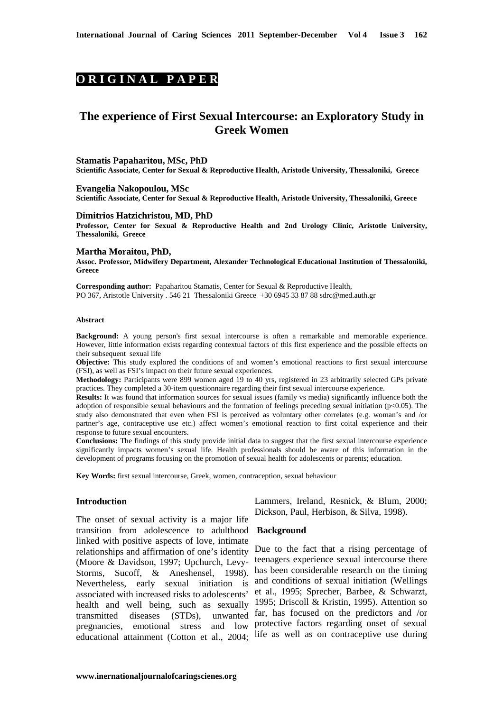# **O R I G I N A L P A P E R**

# **The experience of First Sexual Intercourse: an Exploratory Study in Greek Women**

#### **Stamatis Papaharitou, MSc, PhD**

**Scientific Associate, Center for Sexual & Reproductive Health, Aristotle University, Thessaloniki, Greece** 

**Evangelia Nakopoulou, MSc Scientific Associate, Center for Sexual & Reproductive Health, Aristotle University, Thessaloniki, Greece** 

#### **Dimitrios Hatzichristou, MD, PhD**

**Professor, Center for Sexual & Reproductive Health and 2nd Urology Clinic, Aristotle University, Thessaloniki, Greece** 

#### **Martha Moraitou, PhD,**

**Assoc. Professor, Midwifery Department, Alexander Technological Educational Institution of Thessaloniki, Greece** 

**Corresponding author:** Papaharitou Stamatis, Center for Sexual & Reproductive Health, PO 367, Aristotle University . 546 21 Thessaloniki Greece +30 6945 33 87 88 sdrc@med.auth.gr

#### **Abstract**

**Background:** A young person's first sexual intercourse is often a remarkable and memorable experience. However, little information exists regarding contextual factors of this first experience and the possible effects on their subsequent sexual life

**Objective:** This study explored the conditions of and women's emotional reactions to first sexual intercourse (FSI), as well as FSI's impact on their future sexual experiences.

**Methodology:** Participants were 899 women aged 19 to 40 yrs, registered in 23 arbitrarily selected GPs private practices. They completed a 30-item questionnaire regarding their first sexual intercourse experience.

**Results:** It was found that information sources for sexual issues (family vs media) significantly influence both the adoption of responsible sexual behaviours and the formation of feelings preceding sexual initiation  $(p<0.05)$ . The study also demonstrated that even when FSI is perceived as voluntary other correlates (e.g. woman's and /or partner's age, contraceptive use etc.) affect women's emotional reaction to first coital experience and their response to future sexual encounters.

**Conclusions:** The findings of this study provide initial data to suggest that the first sexual intercourse experience significantly impacts women's sexual life. Health professionals should be aware of this information in the development of programs focusing on the promotion of sexual health for adolescents or parents; education.

**Key Words:** first sexual intercourse, Greek, women, contraception, sexual behaviour

#### **Introduction**

The onset of sexual activity is a major life transition from adolescence to adulthood  **Background**  linked with positive aspects of love, intimate relationships and affirmation of one's identity Due to the fact that a rising percentage of (Moore & Davidson, 1997; Upchurch, Levy-Storms, Sucoff, & Aneshensel, 1998). Nevertheless, early sexual initiation is associated with increased risks to adolescents' health and well being, such as sexually 1995; Driscoll & Kristin, 1995). Attention so transmitted diseases (STDs), unwanted far, has focused on the predictors and /or pregnancies, emotional stress and low protective factors regarding onset of sexual educational attainment (Cotton et al., 2004; life as well as on contraceptive use during

Lammers, Ireland, Resnick, & Blum, 2000; Dickson, Paul, Herbison, & Silva, 1998).

teenagers experience sexual intercourse there has been considerable research on the timing and conditions of sexual initiation (Wellings et al., 1995; Sprecher, Barbee, & Schwarzt,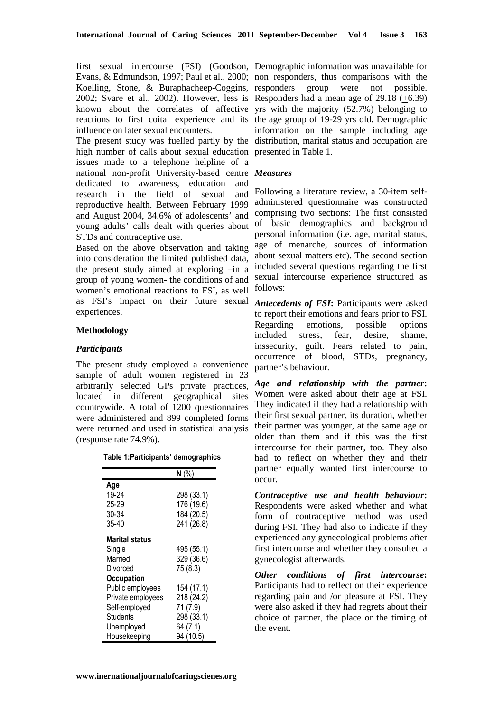first sexual intercourse (FSI) (Goodson, Demographic information was unavailable for Evans, & Edmundson, 1997; Paul et al., 2000; non responders, thus comparisons with the Koelling, Stone, & Buraphacheep-Coggins, responders group were not possible. 2002; Svare et al., 2002). However, less is Responders had a mean age of  $29.18 \left( \pm 6.39 \right)$ known about the correlates of affective yrs with the majority (52.7%) belonging to reactions to first coital experience and its the age group of 19-29 yrs old. Demographic influence on later sexual encounters.

The present study was fuelled partly by the distribution, marital status and occupation are high number of calls about sexual education presented in Table 1. issues made to a telephone helpline of a national non-profit University-based centre *Measures*  dedicated to awareness, education and research in the field of sexual and reproductive health. Between February 1999 and August 2004, 34.6% of adolescents' and young adults' calls dealt with queries about STDs and contraceptive use.

Based on the above observation and taking into consideration the limited published data, the present study aimed at exploring –in a group of young women- the conditions of and women's emotional reactions to FSI, as well as FSI's impact on their future sexual experiences.

## **Methodology**

### *Participants*

The present study employed a convenience sample of adult women registered in 23 arbitrarily selected GPs private practices, located in different geographical sites countrywide. A total of 1200 questionnaires were administered and 899 completed forms were returned and used in statistical analysis (response rate 74.9%).

| Table 1:Participants' demographics |  |
|------------------------------------|--|
|------------------------------------|--|

|                   | N(%        |
|-------------------|------------|
| Age               |            |
| 19-24             | 298 (33.1) |
| 25-29             | 176 (19.6) |
| 30-34             | 184 (20.5) |
| $35 - 40$         | 241 (26.8) |
|                   |            |
| Marital status    |            |
| Single            | 495 (55.1) |
| Married           | 329 (36.6) |
| Divorced          | 75 (8.3)   |
| Occupation        |            |
| Public employees  | 154 (17.1) |
| Private employees | 218 (24.2) |
| Self-employed     | 71 (7.9)   |
| Students          | 298 (33.1) |
| Unemployed        | 64 (7.1)   |
| Housekeeping      | 94 (10.5)  |

information on the sample including age

Following a literature review, a 30-item selfadministered questionnaire was constructed comprising two sections: The first consisted of basic demographics and background personal information (i.e. age, marital status, age of menarche, sources of information about sexual matters etc). The second section included several questions regarding the first sexual intercourse experience structured as follows:

*Antecedents of FSI***:** Participants were asked to report their emotions and fears prior to FSI. Regarding emotions, possible options included stress, fear, desire, shame, inssecurity, guilt. Fears related to pain, occurrence of blood, STDs, pregnancy, partner's behaviour.

*Age and relationship with the partner***:** Women were asked about their age at FSI. They indicated if they had a relationship with their first sexual partner, its duration, whether their partner was younger, at the same age or older than them and if this was the first intercourse for their partner, too. They also had to reflect on whether they and their partner equally wanted first intercourse to occur.

*Contraceptive use and health behaviour***:** Respondents were asked whether and what form of contraceptive method was used during FSI. They had also to indicate if they experienced any gynecological problems after first intercourse and whether they consulted a gynecologist afterwards.

*Other conditions of first intercourse***:** Participants had to reflect on their experience regarding pain and /or pleasure at FSI. They were also asked if they had regrets about their choice of partner, the place or the timing of the event.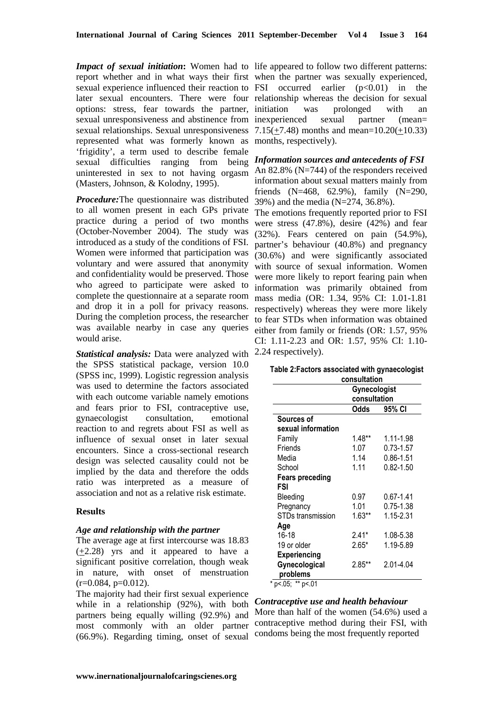Impact of sexual initiation: Women had to life appeared to follow two different patterns: report whether and in what ways their first when the partner was sexually experienced, sexual experience influenced their reaction to  $FSI$  occurred earlier  $(p<0.01)$  in the later sexual encounters. There were four relationship whereas the decision for sexual options: stress, fear towards the partner, initiation was prolonged with an sexual unresponsiveness and abstinence from inexperienced sexual partner (mean= sexual relationships. Sexual unresponsiveness  $7.15(\pm 7.48)$  months and mean=10.20( $\pm$ 10.33) represented what was formerly known as months, respectively). 'frigidity', a term used to describe female sexual difficulties ranging from being *Information sources and antecedents of FSI*  uninterested in sex to not having orgasm (Masters, Johnson, & Kolodny, 1995).

*Procedure:*The questionnaire was distributed to all women present in each GPs private practice during a period of two months (October-November 2004). The study was introduced as a study of the conditions of FSI. Women were informed that participation was voluntary and were assured that anonymity and confidentiality would be preserved. Those who agreed to participate were asked to complete the questionnaire at a separate room and drop it in a poll for privacy reasons. During the completion process, the researcher was available nearby in case any queries would arise.

*Statistical analysis:* Data were analyzed with the SPSS statistical package, version 10.0 (SPSS inc, 1999). Logistic regression analysis was used to determine the factors associated with each outcome variable namely emotions and fears prior to FSI, contraceptive use, gynaecologist consultation, emotional reaction to and regrets about FSI as well as influence of sexual onset in later sexual encounters. Since a cross-sectional research design was selected causality could not be implied by the data and therefore the odds ratio was interpreted as a measure of association and not as a relative risk estimate.

## **Results**

## *Age and relationship with the partner*

The average age at first intercourse was 18.83 (+2.28) yrs and it appeared to have a significant positive correlation, though weak in nature, with onset of menstruation  $(r=0.084, p=0.012)$ .

The majority had their first sexual experience while in a relationship (92%), with both partners being equally willing (92.9%) and most commonly with an older partner (66.9%). Regarding timing, onset of sexual

An 82.8% (N=744) of the responders received information about sexual matters mainly from friends  $(N=468, 62.9\%)$ , family  $(N=290,$ 39%) and the media (N=274, 36.8%).

The emotions frequently reported prior to FSI were stress (47.8%), desire (42%) and fear (32%). Fears centered on pain (54.9%), partner's behaviour (40.8%) and pregnancy (30.6%) and were significantly associated with source of sexual information. Women were more likely to report fearing pain when information was primarily obtained from mass media (OR: 1.34, 95% CI: 1.01-1.81 respectively) whereas they were more likely to fear STDs when information was obtained either from family or friends (OR: 1.57, 95% CI: 1.11-2.23 and OR: 1.57, 95% CI: 1.10- 2.24 respectively).

| Table 2: Factors associated with gynaecologist |  |  |
|------------------------------------------------|--|--|
|                                                |  |  |

|                        | consultation |               |  |  |  |
|------------------------|--------------|---------------|--|--|--|
|                        | Gynecologist |               |  |  |  |
|                        | consultation |               |  |  |  |
|                        | Odds         | 95% CI        |  |  |  |
| Sources of             |              |               |  |  |  |
| sexual information     |              |               |  |  |  |
| Family                 | $1.48**$     | 1.11-1.98     |  |  |  |
| Friends                | 1.07         | $0.73 - 1.57$ |  |  |  |
| Media                  | 1.14         | $0.86 - 1.51$ |  |  |  |
| School                 | 1.11         | $0.82 - 1.50$ |  |  |  |
| <b>Fears preceding</b> |              |               |  |  |  |
| FSI                    |              |               |  |  |  |
| Bleeding               | 0.97         | $0.67 - 1.41$ |  |  |  |
| Pregnancy              | 1.01         | $0.75 - 1.38$ |  |  |  |
| STDs transmission      | $1.63**$     | 1.15-2.31     |  |  |  |
| Age                    |              |               |  |  |  |
| $16-18$                | $2.41*$      | 1.08-5.38     |  |  |  |
| 19 or older            | $2.65*$      | 1.19-5.89     |  |  |  |
| <b>Experiencing</b>    |              |               |  |  |  |
| Gynecological          | $2.85**$     | 2.01-4.04     |  |  |  |
| problems               |              |               |  |  |  |

*Contraceptive use and health behaviour* 

More than half of the women (54.6%) used a contraceptive method during their FSI, with condoms being the most frequently reported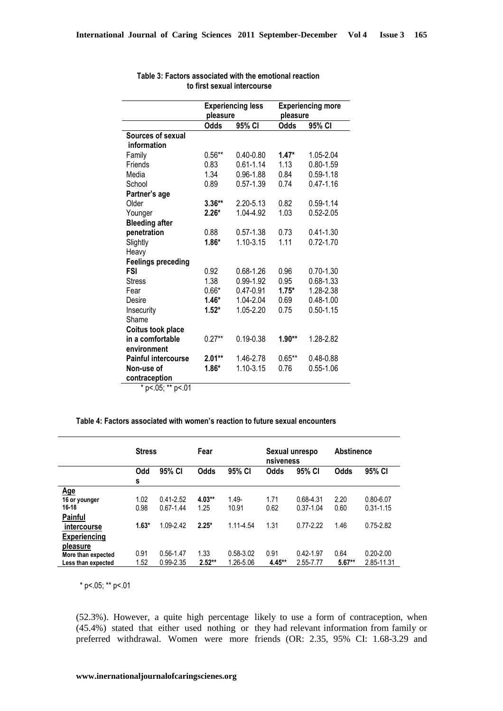|                                  | pleasure    | <b>Experiencing less</b> | <b>Experiencing more</b><br>pleasure |               |  |
|----------------------------------|-------------|--------------------------|--------------------------------------|---------------|--|
|                                  | <b>Odds</b> | 95% CI                   | <b>Odds</b>                          | 95% CI        |  |
| Sources of sexual<br>information |             |                          |                                      |               |  |
| Family                           | $0.56**$    | $0.40 - 0.80$            | $1.47*$                              | 1.05-2.04     |  |
| Friends                          | 0.83        | $0.61 - 1.14$            | 1.13                                 | $0.80 - 1.59$ |  |
| Media                            | 1.34        | $0.96 - 1.88$            | 0.84                                 | $0.59 - 1.18$ |  |
| School                           | 0.89        | $0.57 - 1.39$            | 0.74                                 | $0.47 - 1.16$ |  |
| Partner's age                    |             |                          |                                      |               |  |
| Older                            | $3.36**$    | 2.20-5.13                | 0.82                                 | $0.59 - 1.14$ |  |
| Younger                          | $2.26*$     | 1.04-4.92                | 1.03                                 | $0.52 - 2.05$ |  |
| <b>Bleeding after</b>            |             |                          |                                      |               |  |
| penetration                      | 0.88        | $0.57 - 1.38$            | 0.73                                 | $0.41 - 1.30$ |  |
| Slightly                         | $1.86*$     | 1.10-3.15                | 1.11                                 | $0.72 - 1.70$ |  |
| Heavy                            |             |                          |                                      |               |  |
| <b>Feelings preceding</b>        |             |                          |                                      |               |  |
| <b>FSI</b>                       | 0.92        | 0.68-1.26                | 0.96                                 | $0.70 - 1.30$ |  |
| <b>Stress</b>                    | 1.38        | 0.99-1.92                | 0.95                                 | $0.68 - 1.33$ |  |
| Fear                             | $0.66*$     | 0.47-0.91                | $1.75*$                              | 1.28-2.38     |  |
| Desire                           | $1.46*$     | 1.04-2.04                | 0.69                                 | $0.48 - 1.00$ |  |
| Insecurity                       | $1.52*$     | 1.05-2.20                | 0.75                                 | $0.50 - 1.15$ |  |
| Shame                            |             |                          |                                      |               |  |
| Coitus took place                |             |                          |                                      |               |  |
| in a comfortable                 | $0.27**$    | $0.19 - 0.38$            | $1.90**$                             | 1.28-2.82     |  |
| environment                      |             |                          |                                      |               |  |
| <b>Painful intercourse</b>       | $2.01**$    | 1.46-2.78                | $0.65**$                             | $0.48 - 0.88$ |  |
| Non-use of                       | $1.86*$     | 1.10-3.15                | 0.76                                 | $0.55 - 1.06$ |  |
| contraception<br>~ "             |             |                          |                                      |               |  |

#### **Table 3: Factors associated with the emotional reaction to first sexual intercourse**

 $*$  p<.05; \*\* p<.01

## **Table 4: Factors associated with women's reaction to future sexual encounters**

|                                                                       |                         | <b>Stress</b><br>Fear                       |                             | Sexual unrespo<br>nsiveness    |                      | <b>Abstinence</b>                           |                      |                                                 |
|-----------------------------------------------------------------------|-------------------------|---------------------------------------------|-----------------------------|--------------------------------|----------------------|---------------------------------------------|----------------------|-------------------------------------------------|
|                                                                       | Odd                     | 95% CI                                      | <b>Odds</b>                 | 95% CI                         | Odds                 | 95% CI                                      | <b>Odds</b>          | 95% CI                                          |
|                                                                       | s                       |                                             |                             |                                |                      |                                             |                      |                                                 |
| <u>Age</u><br>16 or younger<br>16-18<br><b>Painful</b><br>intercourse | 1.02<br>0.98<br>$1.63*$ | $0.41 - 2.52$<br>$0.67 - 1.44$<br>1.09-2.42 | $4.03**$<br>1.25<br>$2.25*$ | $1.49 -$<br>10.91<br>1.11-4.54 | 1.71<br>0.62<br>1.31 | 0.68-4.31<br>$0.37 - 1.04$<br>$0.77 - 2.22$ | 2.20<br>0.60<br>1.46 | $0.80 - 6.07$<br>$0.31 - 1.15$<br>$0.75 - 2.82$ |
| <b>Experiencing</b><br>pleasure                                       |                         |                                             |                             |                                |                      |                                             |                      |                                                 |
| More than expected<br>Less than expected                              | 0.91<br>1.52            | $0.56 - 1.47$<br>$0.99 - 2.35$              | 1.33<br>$2.52**$            | $0.58 - 3.02$<br>1.26-5.06     | 0.91<br>$4.45**$     | $0.42 - 1.97$<br>2.55-7.77                  | 0.64<br>$5.67**$     | $0.20 - 2.00$<br>2.85-11.31                     |

\* p<.05; \*\* p<.01

(52.3%). However, a quite high percentage likely to use a form of contraception, when (45.4%) stated that either used nothing or they had relevant information from family or preferred withdrawal. Women were more friends (OR: 2.35, 95% CI: 1.68-3.29 and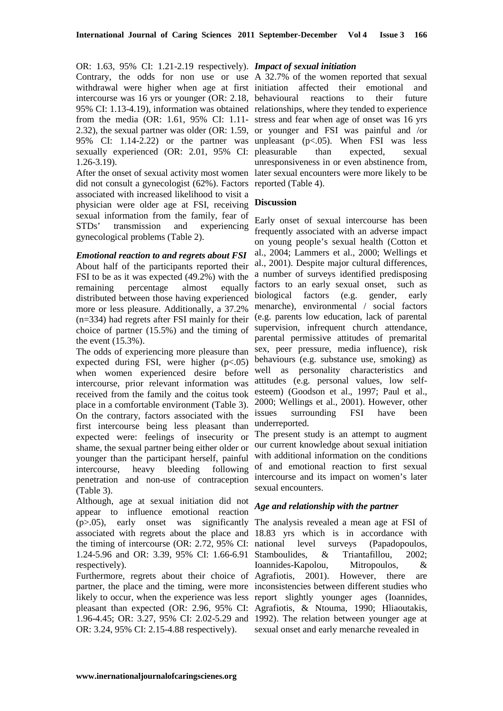OR: 1.63, 95% CI: 1.21-2.19 respectively). *Impact of sexual initiation*  Contrary, the odds for non use or use A 32.7% of the women reported that sexual withdrawal were higher when age at first initiation affected their emotional and intercourse was 16 yrs or younger (OR: 2.18, behavioural reactions to their future 95% CI: 1.13-4.19), information was obtained relationships, where they tended to experience from the media (OR: 1.61, 95% CI: 1.11- stress and fear when age of onset was 16 yrs 2.32), the sexual partner was older (OR: 1.59, or younger and FSI was painful and /or 95% CI: 1.14-2.22) or the partner was unpleasant (p<.05). When FSI was less sexually experienced (OR: 2.01, 95% CI: pleasurable than expected, sexual 1.26-3.19).

did not consult a gynecologist (62%). Factors reported (Table 4). associated with increased likelihood to visit a physician were older age at FSI, receiving sexual information from the family, fear of STDs' transmission and experiencing gynecological problems (Table 2).

*Emotional reaction to and regrets about FSI*  About half of the participants reported their FSI to be as it was expected (49.2%) with the remaining percentage almost equally distributed between those having experienced more or less pleasure. Additionally, a 37.2% (n=334) had regrets after FSI mainly for their choice of partner (15.5%) and the timing of the event (15.3%).

The odds of experiencing more pleasure than expected during FSI, were higher  $(p<.05)$ when women experienced desire before intercourse, prior relevant information was received from the family and the coitus took place in a comfortable environment (Table 3). On the contrary, factors associated with the first intercourse being less pleasant than expected were: feelings of insecurity or shame, the sexual partner being either older or younger than the participant herself, painful intercourse, heavy bleeding following penetration and non-use of contraception (Table 3).

Although, age at sexual initiation did not appear to influence emotional reaction (p>.05), early onset was significantly The analysis revealed a mean age at FSI of associated with regrets about the place and 18.83 yrs which is in accordance with the timing of intercourse (OR: 2.72, 95% CI: national level surveys (Papadopoulos, 1.24-5.96 and OR: 3.39, 95% CI: 1.66-6.91 respectively).

partner, the place and the timing, were more inconsistencies between different studies who likely to occur, when the experience was less report slightly younger ages (Ioannides, pleasant than expected (OR: 2.96, 95% CI: Agrafiotis, & Ntouma, 1990; Hliaoutakis, 1.96-4.45; OR: 3.27, 95% CI: 2.02-5.29 and 1992). The relation between younger age at OR: 3.24, 95% CI: 2.15-4.88 respectively).

After the onset of sexual activity most women later sexual encounters were more likely to be unresponsiveness in or even abstinence from,

## **Discussion**

Early onset of sexual intercourse has been frequently associated with an adverse impact on young people's sexual health (Cotton et al., 2004; Lammers et al., 2000; Wellings et al., 2001). Despite major cultural differences, a number of surveys identified predisposing factors to an early sexual onset, such as biological factors (e.g. gender, early menarche), environmental / social factors (e.g. parents low education, lack of parental supervision, infrequent church attendance, parental permissive attitudes of premarital sex, peer pressure, media influence), risk behaviours (e.g. substance use, smoking) as well as personality characteristics and attitudes (e.g. personal values, low selfesteem) (Goodson et al., 1997; Paul et al., 2000; Wellings et al., 2001). However, other issues surrounding FSI have been underreported.

The present study is an attempt to augment our current knowledge about sexual initiation with additional information on the conditions of and emotional reaction to first sexual intercourse and its impact on women's later sexual encounters.

## *Age and relationship with the partner*

Furthermore, regrets about their choice of Agrafiotis, 2001). However, there are & Triantafillou, 2002; Ioannides-Kapolou, Mitropoulos, & sexual onset and early menarche revealed in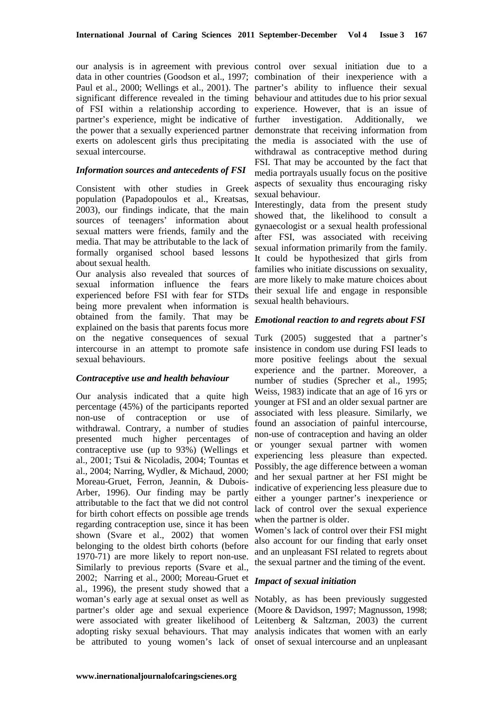our analysis is in agreement with previous control over sexual initiation due to a data in other countries (Goodson et al., 1997; combination of their inexperience with a Paul et al., 2000; Wellings et al., 2001). The partner's ability to influence their sexual significant difference revealed in the timing behaviour and attitudes due to his prior sexual of FSI within a relationship according to experience. However, that is an issue of partner's experience, might be indicative of the power that a sexually experienced partner demonstrate that receiving information from exerts on adolescent girls thus precipitating the media is associated with the use of sexual intercourse.

### *Information sources and antecedents of FSI*

Consistent with other studies in Greek population (Papadopoulos et al., Kreatsas, 2003), our findings indicate, that the main sources of teenagers' information about sexual matters were friends, family and the media. That may be attributable to the lack of formally organised school based lessons about sexual health.

Our analysis also revealed that sources of sexual information influence the fears experienced before FSI with fear for STDs being more prevalent when information is obtained from the family. That may be explained on the basis that parents focus more on the negative consequences of sexual Turk (2005) suggested that a partner's intercourse in an attempt to promote safe insistence in condom use during FSI leads to sexual behaviours.

### *Contraceptive use and health behaviour*

Our analysis indicated that a quite high percentage (45%) of the participants reported non-use of contraception or use of withdrawal. Contrary, a number of studies presented much higher percentages of contraceptive use (up to 93%) (Wellings et al., 2001; Tsui & Nicoladis, 2004; Tountas et al., 2004; Narring, Wydler, & Michaud, 2000; Moreau-Gruet, Ferron, Jeannin, & Dubois-Arber, 1996). Our finding may be partly attributable to the fact that we did not control for birth cohort effects on possible age trends regarding contraception use, since it has been shown (Svare et al., 2002) that women belonging to the oldest birth cohorts (before 1970-71) are more likely to report non-use. Similarly to previous reports (Svare et al., 2002; Narring et al., 2000; Moreau-Gruet et al., 1996), the present study showed that a woman's early age at sexual onset as well as Notably, as has been previously suggested partner's older age and sexual experience (Moore & Davidson, 1997; Magnusson, 1998; were associated with greater likelihood of Leitenberg & Saltzman, 2003) the current adopting risky sexual behaviours. That may analysis indicates that women with an early be attributed to young women's lack of onset of sexual intercourse and an unpleasant

investigation. Additionally, we withdrawal as contraceptive method during FSI. That may be accounted by the fact that media portrayals usually focus on the positive aspects of sexuality thus encouraging risky sexual behaviour.

Interestingly, data from the present study showed that, the likelihood to consult a gynaecologist or a sexual health professional after FSI, was associated with receiving sexual information primarily from the family. It could be hypothesized that girls from families who initiate discussions on sexuality, are more likely to make mature choices about their sexual life and engage in responsible sexual health behaviours.

## *Emotional reaction to and regrets about FSI*

more positive feelings about the sexual experience and the partner. Moreover, a number of studies (Sprecher et al., 1995; Weiss, 1983) indicate that an age of 16 yrs or younger at FSI and an older sexual partner are associated with less pleasure. Similarly, we found an association of painful intercourse, non-use of contraception and having an older or younger sexual partner with women experiencing less pleasure than expected. Possibly, the age difference between a woman and her sexual partner at her FSI might be indicative of experiencing less pleasure due to either a younger partner's inexperience or lack of control over the sexual experience when the partner is older.

Women's lack of control over their FSI might also account for our finding that early onset and an unpleasant FSI related to regrets about the sexual partner and the timing of the event.

## *Impact of sexual initiation*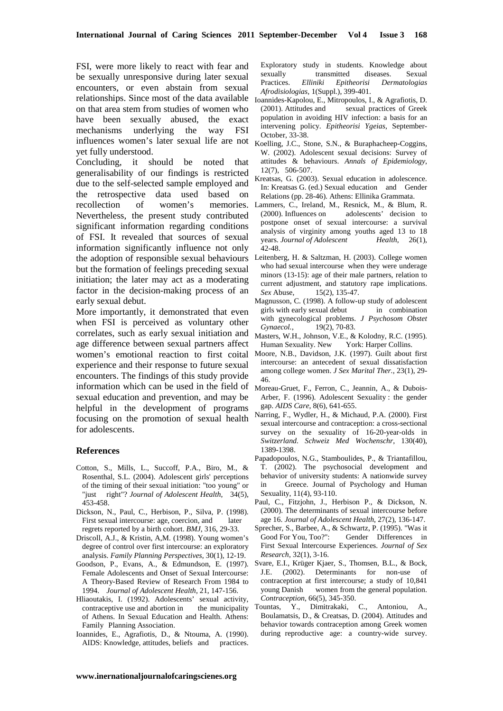FSI, were more likely to react with fear and be sexually unresponsive during later sexual encounters, or even abstain from sexual relationships. Since most of the data available on that area stem from studies of women who have been sexually abused, the exact mechanisms underlying the way FSI influences women's later sexual life are not Koelling, J.C., Stone, S.N., & Buraphacheep-Coggins, yet fully understood.

Concluding, it should be noted that generalisability of our findings is restricted due to the self-selected sample employed and the retrospective data used based on recollection of women's memories. Nevertheless, the present study contributed significant information regarding conditions of FSI. It revealed that sources of sexual information significantly influence not only the adoption of responsible sexual behaviours Leitenberg, H. & Saltzman, H. (2003). College women but the formation of feelings preceding sexual initiation; the later may act as a moderating factor in the decision-making process of an early sexual debut.

More importantly, it demonstrated that even when FSI is perceived as voluntary other correlates, such as early sexual initiation and age difference between sexual partners affect experience and their response to future sexual encounters. The findings of this study provide information which can be used in the field of sexual education and prevention, and may be helpful in the development of programs focusing on the promotion of sexual health for adolescents.

#### **References**

- Cotton, S., Mills, L., Succoff, P.A., Biro, M., & Rosenthal, S.L. (2004). Adolescent girls' perceptions of the timing of their sexual initiation: "too young" or "just right"? *Journal of Adolescent Health*, 34(5), 453-458.
- Dickson, N., Paul, C., Herbison, P., Silva, P. (1998). First sexual intercourse: age, coercion, and later regrets reported by a birth cohort. *BMJ*, 316, 29-33.
- Driscoll, A.J., & Kristin, A,M. (1998). Young women's degree of control over first intercourse: an exploratory analysis. *Family Planning Perspectives*, 30(1), 12-19.
- Goodson, P., Evans, A., & Edmundson, E. (1997). Female Adolescents and Onset of Sexual Intercourse: A Theory-Based Review of Research From 1984 to 1994. *Journal of Adolescent Health*, 21, 147-156.
- Hliaoutakis, Ι. (1992). Adolescents' sexual activity, contraceptive use and abortion in the municipality of Athens. In Sexual Education and Health. Athens: Family Planning Association.
- Ioannides, E., Agrafiotis, D., & Ntouma, A. (1990). AIDS: Knowledge, attitudes, beliefs and practices.

Exploratory study in students. Knowledge about sexually transmitted diseases. Sexual Practices. *Elliniki Epitheorisi Dermatologias Afrodisiologias*, 1(Suppl.), 399-401.

- Ioannides-Kapolou, E., Mitropoulos, I., & Agrafiotis, D. (2001). Attitudes and sexual practices of Greek population in avoiding HIV infection: a basis for an intervening policy. *Epitheorisi Ygeias*, September-October, 33-38.
- W. (2002). Adolescent sexual decisions: Survey of attitudes & behaviours. *Annals of Epidemiology*, 12(7), 506-507.
- Kreatsas, G. (2003). Sexual education in adolescence. In: Kreatsas G. (ed.) Sexual education and Gender Relations (pp. 28-46). Athens: Ellinika Grammata.
- Lammers, C., Ireland, M., Resnick, M., & Blum, R. (2000). Influences on adolescents' decision to postpone onset of sexual intercourse: a survival analysis of virginity among youths aged 13 to 18 years. *Journal of Adolescent Health*, 26(1), 42-48.
- who had sexual intercourse when they were underage minors (13-15): age of their male partners, relation to current adjustment, and statutory rape implications. *Sex Abuse*, 15(2), 135-47.
- Magnusson, C. (1998). A follow-up study of adolescent girls with early sexual debut in combination with gynecological problems. *J Psychosom Obstet Gynaecol.*, 19(2), 70-83.
- Masters, W.H., Johnson, V.E., & Kolodny, R.C. (1995). Human Sexuality. New York: Harper Collins.
- women's emotional reaction to first coital Moore, N.B., Davidson, J.K. (1997). Guilt about first intercourse: an antecedent of sexual dissatisfaction among college women. *J Sex Marital Ther.*, 23(1), 29- 46.
	- Moreau-Gruet, F., Ferron, C., Jeannin, A., & Dubois-Arber, F. (1996). Adolescent Sexuality : the gender gap. *AIDS Care*, 8(6), 641-655.
	- Narring, F., Wydler, H., & Michaud, P.A. (2000). First sexual intercourse and contraception: a cross-sectional survey on the sexuality of 16-20-year-olds in *Switzerland. Schweiz Med Wochenschr*, 130(40), 1389-1398.
	- Papadopoulos, N.G., Stamboulides, P., & Triantafillou, T. (2002). The psychosocial development and behavior of university students: A nationwide survey in Greece. Journal of Psychology and Human Sexuality, 11(4), 93-110.
	- Paul, C., Fitzjohn, J., Herbison P., & Dickson, N. (2000). The determinants of sexual intercourse before age 16. *Journal of Adolescent Health*, 27(2), 136-147.
	- Sprecher, S., Barbee, A., & Schwartz, P. (1995). "Was it Good For You, Too?": Gender Differences in First Sexual Intercourse Experiences. *Journal of Sex Research*, 32(1), 3-16.
	- Svare, E.I., Krüger Kjaer, S., Thomsen, B.L., & Bock, J.E. (2002). Determinants for non-use of contraception at first intercourse; a study of 10,841 young Danish women from the general population. *Contraception*, 66(5), 345-350.
	- Tountas, Y., Dimitrakaki, C., Antoniou, A., Boulamatsis, D., & Creatsas, D. (2004). Attitudes and behavior towards contraception among Greek women during reproductive age: a country-wide survey.